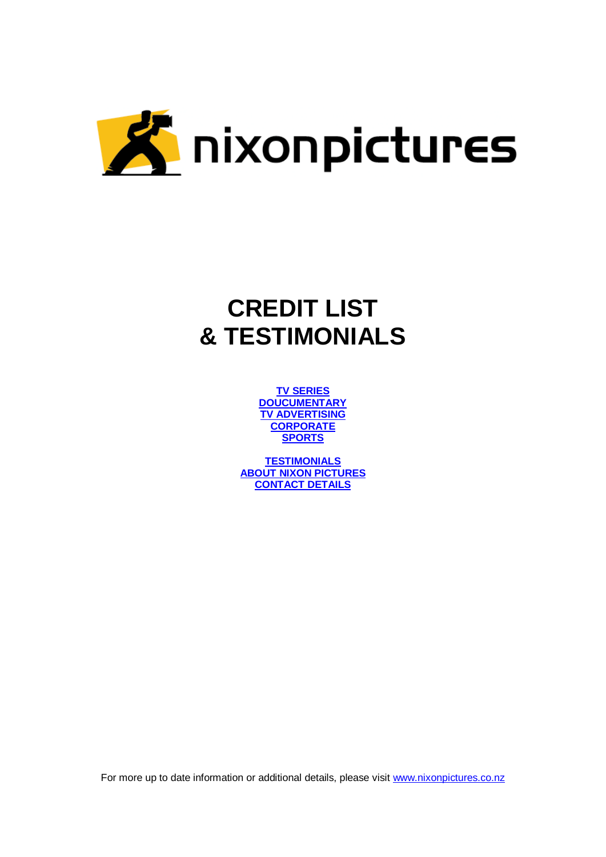

# **CREDIT LIST & TESTIMONIALS**

**[TV SERIES](#page-1-0) [DOUCUMENTARY](#page-2-0) Y ADVERTISING [CORPORATE](#page-5-0) [SPORTS](#page-9-0)**

**[TESTIMONIALS](#page-11-0) [ABOUT NIXON PICTURES](#page-12-0) [CONTACT DETAILS](#page-14-0)**

For more up to date information or additional details, please visit [www.nixonpictures.co.nz](http://www.nixonpictures.co.nz/)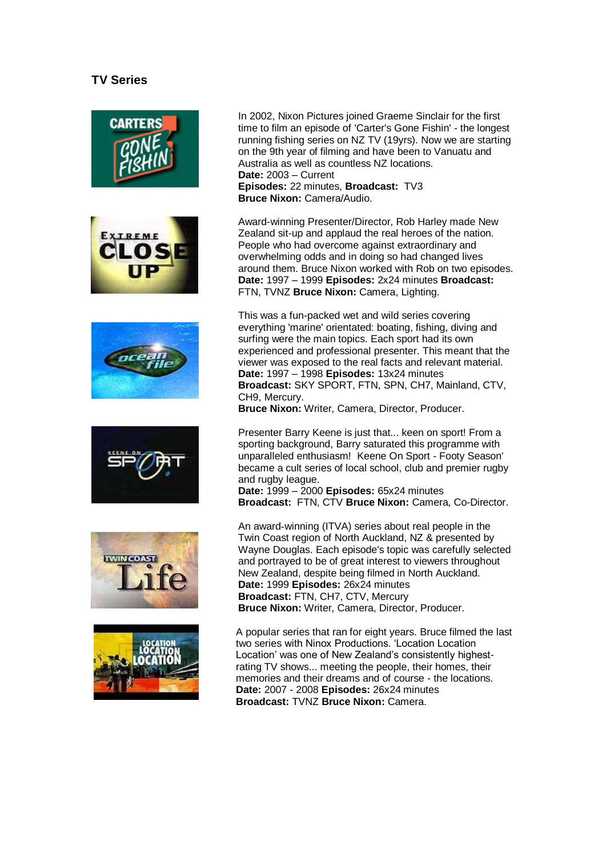# **TV Series**

<span id="page-1-0"></span>











In 2002, Nixon Pictures joined Graeme Sinclair for the first time to film an episode of 'Carter's Gone Fishin' - the longest running fishing series on NZ TV (19yrs). Now we are starting on the 9th year of filming and have been to Vanuatu and Australia as well as countless NZ locations. **Date:** 2003 – Current **Episodes:** 22 minutes, **Broadcast:** TV3 **Bruce Nixon:** Camera/Audio.

Award-winning Presenter/Director, Rob Harley made New Zealand sit-up and applaud the real heroes of the nation. People who had overcome against extraordinary and overwhelming odds and in doing so had changed lives around them. Bruce Nixon worked with Rob on two episodes. **Date:** 1997 – 1999 **Episodes:** 2x24 minutes **Broadcast:** FTN, TVNZ **Bruce Nixon:** Camera, Lighting.

This was a fun-packed wet and wild series covering everything 'marine' orientated: boating, fishing, diving and surfing were the main topics. Each sport had its own experienced and professional presenter. This meant that the viewer was exposed to the real facts and relevant material. **Date:** 1997 – 1998 **Episodes:** 13x24 minutes **Broadcast:** SKY SPORT, FTN, SPN, CH7, Mainland, CTV, CH9, Mercury.

**Bruce Nixon:** Writer, Camera, Director, Producer.

Presenter Barry Keene is just that... keen on sport! From a sporting background, Barry saturated this programme with unparalleled enthusiasm! Keene On Sport - Footy Season' became a cult series of local school, club and premier rugby and rugby league.

**Date:** 1999 – 2000 **Episodes:** 65x24 minutes **Broadcast:** FTN, CTV **Bruce Nixon:** Camera, Co-Director.

An award-winning (ITVA) series about real people in the Twin Coast region of North Auckland, NZ & presented by Wayne Douglas. Each episode's topic was carefully selected and portrayed to be of great interest to viewers throughout New Zealand, despite being filmed in North Auckland. **Date:** 1999 **Episodes:** 26x24 minutes **Broadcast:** FTN, CH7, CTV, Mercury **Bruce Nixon:** Writer, Camera, Director, Producer.

A popular series that ran for eight years. Bruce filmed the last two series with Ninox Productions. "Location Location Location" was one of New Zealand"s consistently highestrating TV shows... meeting the people, their homes, their memories and their dreams and of course - the locations. **Date:** 2007 - 2008 **Episodes:** 26x24 minutes **Broadcast:** TVNZ **Bruce Nixon:** Camera.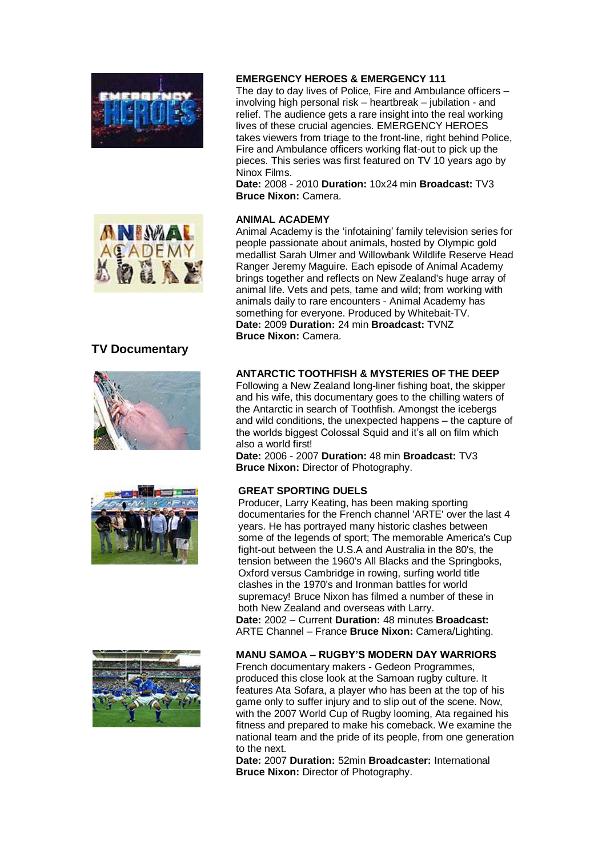



# <span id="page-2-0"></span>**TV Documentary**







#### **EMERGENCY HEROES & EMERGENCY 111**

The day to day lives of Police, Fire and Ambulance officers – involving high personal risk – heartbreak – jubilation - and relief. The audience gets a rare insight into the real working lives of these crucial agencies. EMERGENCY HEROES takes viewers from triage to the front-line, right behind Police, Fire and Ambulance officers working flat-out to pick up the pieces. This series was first featured on TV 10 years ago by Ninox Films.

**Date:** 2008 - 2010 **Duration:** 10x24 min **Broadcast:** TV3 **Bruce Nixon:** Camera.

# **ANIMAL ACADEMY**

Animal Academy is the "infotaining" family television series for people passionate about animals, hosted by Olympic gold medallist Sarah Ulmer and Willowbank Wildlife Reserve Head Ranger Jeremy Maguire. Each episode of Animal Academy brings together and reflects on New Zealand's huge array of animal life. Vets and pets, tame and wild; from working with animals daily to rare encounters - Animal Academy has something for everyone. Produced by Whitebait-TV. **Date:** 2009 **Duration:** 24 min **Broadcast:** TVNZ **Bruce Nixon:** Camera.

# **ANTARCTIC TOOTHFISH & MYSTERIES OF THE DEEP**

Following a New Zealand long-liner fishing boat, the skipper and his wife, this documentary goes to the chilling waters of the Antarctic in search of Toothfish. Amongst the icebergs and wild conditions, the unexpected happens – the capture of the worlds biggest Colossal Squid and it"s all on film which also a world first!

**Date:** 2006 - 2007 **Duration:** 48 min **Broadcast:** TV3 **Bruce Nixon:** Director of Photography.

#### **GREAT SPORTING DUELS**

Producer, Larry Keating, has been making sporting documentaries for the French channel 'ARTE' over the last 4 years. He has portrayed many historic clashes between some of the legends of sport; The memorable America's Cup fight-out between the U.S.A and Australia in the 80's, the tension between the 1960's All Blacks and the Springboks, Oxford versus Cambridge in rowing, surfing world title clashes in the 1970's and Ironman battles for world supremacy! Bruce Nixon has filmed a number of these in both New Zealand and overseas with Larry. **Date:** 2002 – Current **Duration:** 48 minutes **Broadcast:** ARTE Channel – France **Bruce Nixon:** Camera/Lighting.

#### **MANU SAMOA – RUGBY'S MODERN DAY WARRIORS**

French documentary makers - Gedeon Programmes, produced this close look at the Samoan rugby culture. It features Ata Sofara, a player who has been at the top of his game only to suffer injury and to slip out of the scene. Now, with the 2007 World Cup of Rugby looming, Ata regained his fitness and prepared to make his comeback. We examine the national team and the pride of its people, from one generation to the next.

**Date:** 2007 **Duration:** 52min **Broadcaster:** International **Bruce Nixon:** Director of Photography.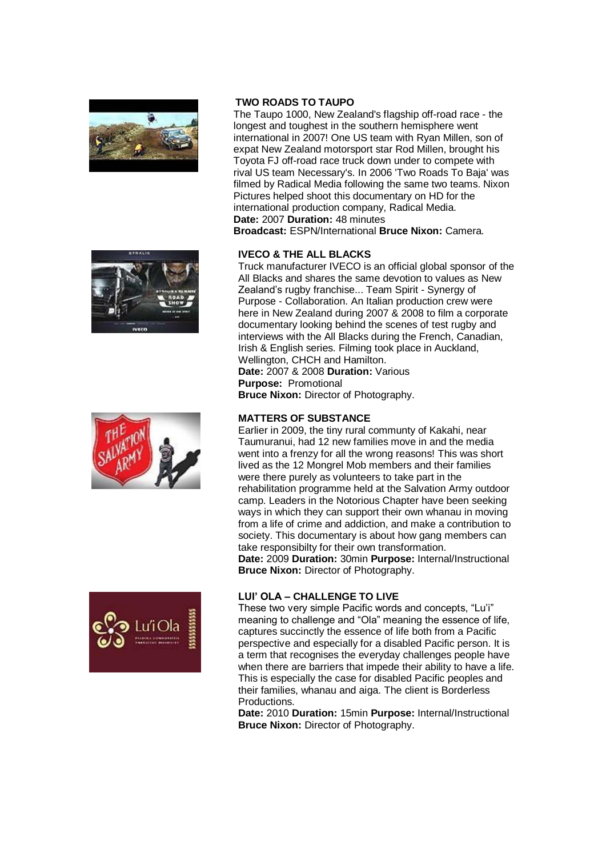







# **TWO ROADS TO TAUPO**

The Taupo 1000, New Zealand's flagship off-road race - the longest and toughest in the southern hemisphere went international in 2007! One US team with Ryan Millen, son of expat New Zealand motorsport star Rod Millen, brought his Toyota FJ off-road race truck down under to compete with rival US team Necessary's. In 2006 'Two Roads To Baja' was filmed by Radical Media following the same two teams. Nixon Pictures helped shoot this documentary on HD for the international production company, Radical Media. **Date:** 2007 **Duration:** 48 minutes **Broadcast:** ESPN/International **Bruce Nixon:** Camera.

# **IVECO & THE ALL BLACKS**

Truck manufacturer IVECO is an official global sponsor of the All Blacks and shares the same devotion to values as New Zealand"s rugby franchise... Team Spirit - Synergy of Purpose - Collaboration. An Italian production crew were here in New Zealand during 2007 & 2008 to film a corporate documentary looking behind the scenes of test rugby and interviews with the All Blacks during the French, Canadian, Irish & English series. Filming took place in Auckland, Wellington, CHCH and Hamilton. **Date:** 2007 & 2008 **Duration:** Various

**Purpose:** Promotional **Bruce Nixon:** Director of Photography.

# **MATTERS OF SUBSTANCE**

Earlier in 2009, the tiny rural communty of Kakahi, near Taumuranui, had 12 new families move in and the media went into a frenzy for all the wrong reasons! This was short lived as the 12 Mongrel Mob members and their families were there purely as volunteers to take part in the rehabilitation programme held at the Salvation Army outdoor camp. Leaders in the Notorious Chapter have been seeking ways in which they can support their own whanau in moving from a life of crime and addiction, and make a contribution to society. This documentary is about how gang members can take responsibilty for their own transformation. **Date:** 2009 **Duration:** 30min **Purpose:** Internal/Instructional

**Bruce Nixon:** Director of Photography.

#### **LUI' OLA – CHALLENGE TO LIVE**

These two very simple Pacific words and concepts, "Lu"i" meaning to challenge and "Ola" meaning the essence of life, captures succinctly the essence of life both from a Pacific perspective and especially for a disabled Pacific person. It is a term that recognises the everyday challenges people have when there are barriers that impede their ability to have a life. This is especially the case for disabled Pacific peoples and their families, whanau and aiga. The client is Borderless Productions.

**Date:** 2010 **Duration:** 15min **Purpose:** Internal/Instructional **Bruce Nixon:** Director of Photography.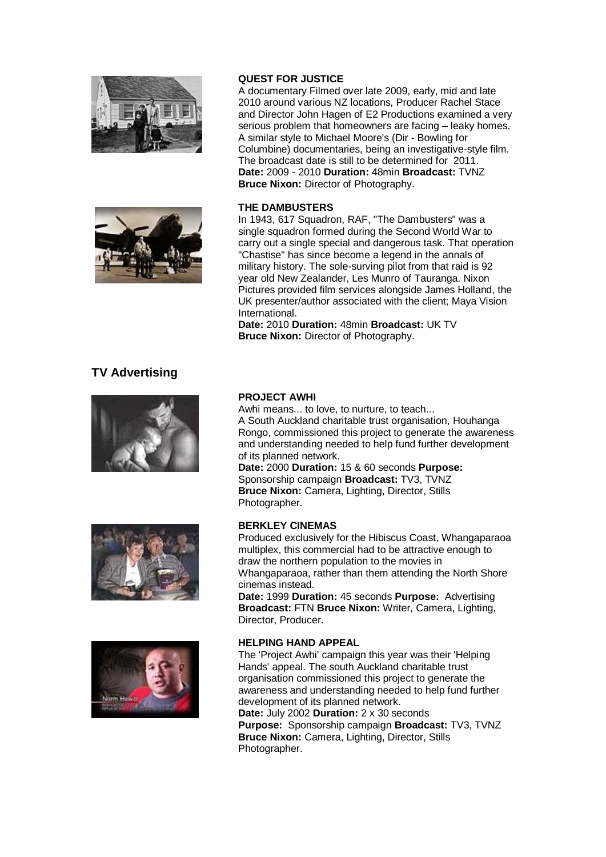



# **QUEST FOR JUSTICE**

A documentary Filmed over late 2009, early, mid and late 2010 around various NZ locations, Producer Rachel Stace and Director John Hagen of E2 Productions examined a very serious problem that homeowners are facing – leaky homes. A similar style to Michael Moore's (Dir - Bowling for Columbine) documentaries, being an investigative-style film. The broadcast date is still to be determined for 2011. **Date:** 2009 - 2010 **Duration:** 48min **Broadcast:** TVNZ **Bruce Nixon:** Director of Photography.

#### **THE DAMBUSTERS**

In 1943, 617 Squadron, RAF, "The Dambusters" was a single squadron formed during the Second World War to carry out a single special and dangerous task. That operation "Chastise" has since become a legend in the annals of military history. The sole-surving pilot from that raid is 92 year old New Zealander, Les Munro of Tauranga. Nixon Pictures provided film services alongside James Holland, the UK presenter/author associated with the client; Maya Vision **International** 

**Date:** 2010 **Duration:** 48min **Broadcast:** UK TV **Bruce Nixon:** Director of Photography.

# **TV Advertising**







#### **PROJECT AWHI**

Awhi means... to love, to nurture, to teach... A South Auckland charitable trust organisation, Houhanga Rongo, commissioned this project to generate the awareness and understanding needed to help fund further development of its planned network.

**Date:** 2000 **Duration:** 15 & 60 seconds **Purpose:** Sponsorship campaign **Broadcast:** TV3, TVNZ **Bruce Nixon:** Camera, Lighting, Director, Stills Photographer.

# **BERKLEY CINEMAS**

Produced exclusively for the Hibiscus Coast, Whangaparaoa multiplex, this commercial had to be attractive enough to draw the northern population to the movies in Whangaparaoa, rather than them attending the North Shore cinemas instead.

**Date:** 1999 **Duration:** 45 seconds **Purpose:** Advertising **Broadcast:** FTN **Bruce Nixon:** Writer, Camera, Lighting, Director, Producer.

#### **HELPING HAND APPEAL**

The 'Project Awhi' campaign this year was their 'Helping Hands' appeal. The south Auckland charitable trust organisation commissioned this project to generate the awareness and understanding needed to help fund further development of its planned network.

**Date:** July 2002 **Duration:** 2 x 30 seconds **Purpose:** Sponsorship campaign **Broadcast:** TV3, TVNZ **Bruce Nixon:** Camera, Lighting, Director, Stills Photographer.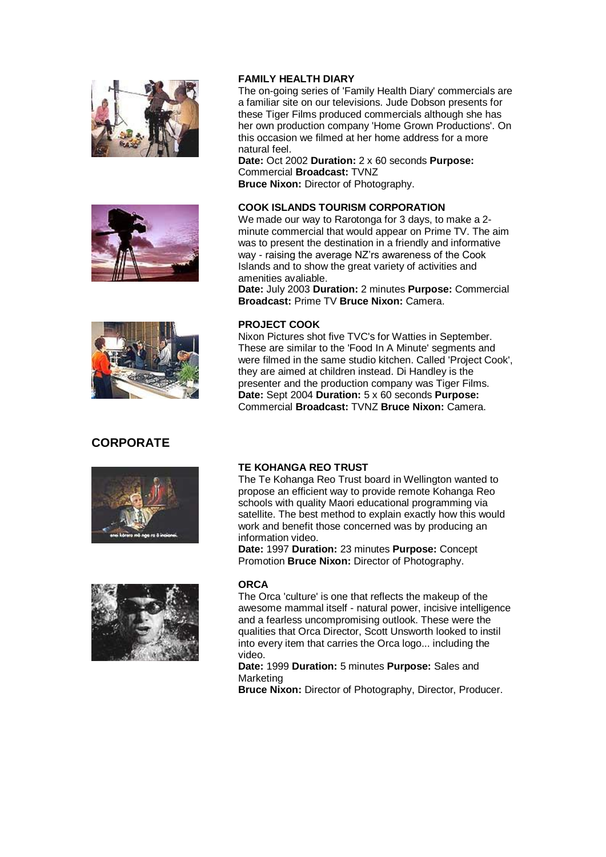<span id="page-5-0"></span>





# **CORPORATE**





#### **FAMILY HEALTH DIARY**

The on-going series of 'Family Health Diary' commercials are a familiar site on our televisions. Jude Dobson presents for these Tiger Films produced commercials although she has her own production company 'Home Grown Productions'. On this occasion we filmed at her home address for a more natural feel.

**Date:** Oct 2002 **Duration:** 2 x 60 seconds **Purpose:** Commercial **Broadcast:** TVNZ **Bruce Nixon:** Director of Photography.

# **COOK ISLANDS TOURISM CORPORATION**

We made our way to Rarotonga for 3 days, to make a 2 minute commercial that would appear on Prime TV. The aim was to present the destination in a friendly and informative way - raising the average NZ"rs awareness of the Cook Islands and to show the great variety of activities and amenities avaliable.

**Date:** July 2003 **Duration:** 2 minutes **Purpose:** Commercial **Broadcast:** Prime TV **Bruce Nixon:** Camera.

# **PROJECT COOK**

Nixon Pictures shot five TVC's for Watties in September. These are similar to the 'Food In A Minute' segments and were filmed in the same studio kitchen. Called 'Project Cook', they are aimed at children instead. Di Handley is the presenter and the production company was Tiger Films. **Date:** Sept 2004 **Duration:** 5 x 60 seconds **Purpose:** Commercial **Broadcast:** TVNZ **Bruce Nixon:** Camera.

# **TE KOHANGA REO TRUST**

The Te Kohanga Reo Trust board in Wellington wanted to propose an efficient way to provide remote Kohanga Reo schools with quality Maori educational programming via satellite. The best method to explain exactly how this would work and benefit those concerned was by producing an information video.

**Date:** 1997 **Duration:** 23 minutes **Purpose:** Concept Promotion **Bruce Nixon:** Director of Photography.

#### **ORCA**

The Orca 'culture' is one that reflects the makeup of the awesome mammal itself - natural power, incisive intelligence and a fearless uncompromising outlook. These were the qualities that Orca Director, Scott Unsworth looked to instil into every item that carries the Orca logo... including the video.

**Date:** 1999 **Duration:** 5 minutes **Purpose:** Sales and Marketing

**Bruce Nixon:** Director of Photography, Director, Producer.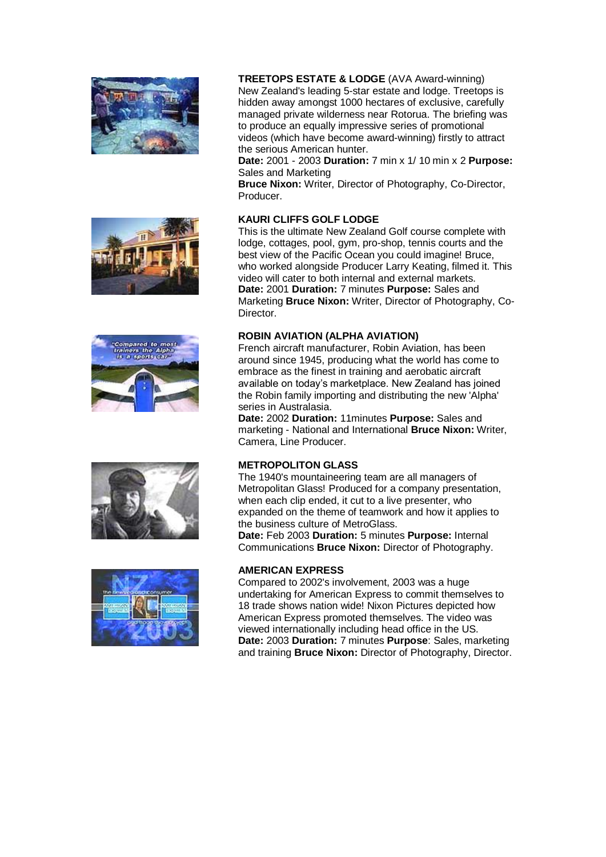









**TREETOPS ESTATE & LODGE** (AVA Award-winning)

New Zealand's leading 5-star estate and lodge. Treetops is hidden away amongst 1000 hectares of exclusive, carefully managed private wilderness near Rotorua. The briefing was to produce an equally impressive series of promotional videos (which have become award-winning) firstly to attract the serious American hunter.

**Date:** 2001 - 2003 **Duration:** 7 min x 1/ 10 min x 2 **Purpose:** Sales and Marketing

**Bruce Nixon:** Writer, Director of Photography, Co-Director, Producer.

# **KAURI CLIFFS GOLF LODGE**

This is the ultimate New Zealand Golf course complete with lodge, cottages, pool, gym, pro-shop, tennis courts and the best view of the Pacific Ocean you could imagine! Bruce, who worked alongside Producer Larry Keating, filmed it. This video will cater to both internal and external markets. **Date:** 2001 **Duration:** 7 minutes **Purpose:** Sales and Marketing **Bruce Nixon:** Writer, Director of Photography, Co-Director.

#### **ROBIN AVIATION (ALPHA AVIATION)**

French aircraft manufacturer, Robin Aviation, has been around since 1945, producing what the world has come to embrace as the finest in training and aerobatic aircraft available on today"s marketplace. New Zealand has joined the Robin family importing and distributing the new 'Alpha' series in Australasia.

**Date:** 2002 **Duration:** 11minutes **Purpose:** Sales and marketing - National and International **Bruce Nixon:** Writer, Camera, Line Producer.

#### **METROPOLITON GLASS**

The 1940's mountaineering team are all managers of Metropolitan Glass! Produced for a company presentation, when each clip ended, it cut to a live presenter, who expanded on the theme of teamwork and how it applies to the business culture of MetroGlass.

**Date:** Feb 2003 **Duration:** 5 minutes **Purpose:** Internal Communications **Bruce Nixon:** Director of Photography.

#### **AMERICAN EXPRESS**

Compared to 2002's involvement, 2003 was a huge undertaking for American Express to commit themselves to 18 trade shows nation wide! Nixon Pictures depicted how American Express promoted themselves. The video was viewed internationally including head office in the US. **Date:** 2003 **Duration:** 7 minutes **Purpose**: Sales, marketing and training **Bruce Nixon:** Director of Photography, Director.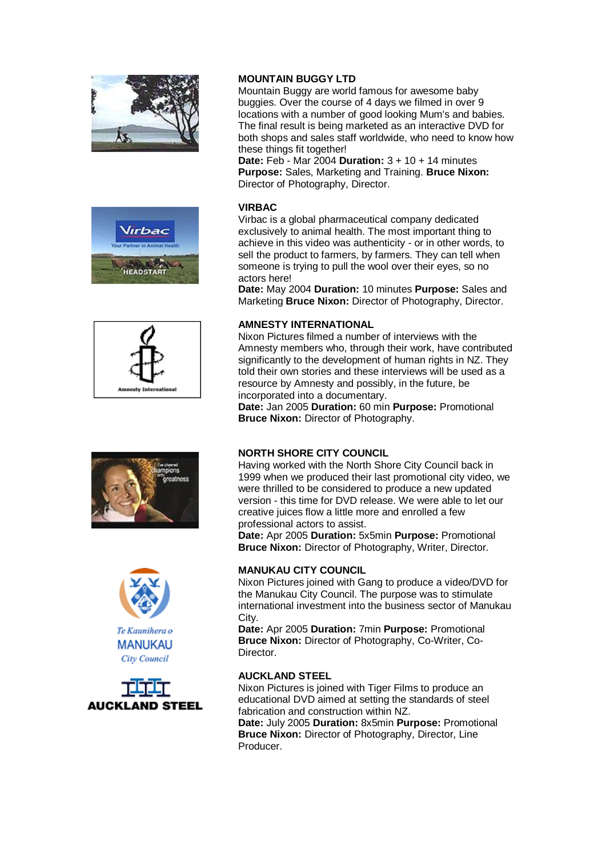











# **MOUNTAIN BUGGY LTD**

Mountain Buggy are world famous for awesome baby buggies. Over the course of 4 days we filmed in over 9 locations with a number of good looking Mum's and babies. The final result is being marketed as an interactive DVD for both shops and sales staff worldwide, who need to know how these things fit together!

**Date:** Feb - Mar 2004 **Duration:** 3 + 10 + 14 minutes **Purpose:** Sales, Marketing and Training. **Bruce Nixon:** Director of Photography, Director.

#### **VIRBAC**

Virbac is a global pharmaceutical company dedicated exclusively to animal health. The most important thing to achieve in this video was authenticity - or in other words, to sell the product to farmers, by farmers. They can tell when someone is trying to pull the wool over their eyes, so no actors here!

**Date:** May 2004 **Duration:** 10 minutes **Purpose:** Sales and Marketing **Bruce Nixon:** Director of Photography, Director.

# **AMNESTY INTERNATIONAL**

Nixon Pictures filmed a number of interviews with the Amnesty members who, through their work, have contributed significantly to the development of human rights in NZ. They told their own stories and these interviews will be used as a resource by Amnesty and possibly, in the future, be incorporated into a documentary.

**Date:** Jan 2005 **Duration:** 60 min **Purpose:** Promotional **Bruce Nixon:** Director of Photography.

#### **NORTH SHORE CITY COUNCIL**

Having worked with the North Shore City Council back in 1999 when we produced their last promotional city video, we were thrilled to be considered to produce a new updated version - this time for DVD release. We were able to let our creative juices flow a little more and enrolled a few professional actors to assist.

**Date:** Apr 2005 **Duration:** 5x5min **Purpose:** Promotional **Bruce Nixon:** Director of Photography, Writer, Director.

# **MANUKAU CITY COUNCIL**

Nixon Pictures joined with Gang to produce a video/DVD for the Manukau City Council. The purpose was to stimulate international investment into the business sector of Manukau City.

**Date:** Apr 2005 **Duration:** 7min **Purpose:** Promotional **Bruce Nixon:** Director of Photography, Co-Writer, Co-Director.

#### **AUCKLAND STEEL**

Nixon Pictures is joined with Tiger Films to produce an educational DVD aimed at setting the standards of steel fabrication and construction within NZ. **Date:** July 2005 **Duration:** 8x5min **Purpose:** Promotional **Bruce Nixon:** Director of Photography, Director, Line **Producer**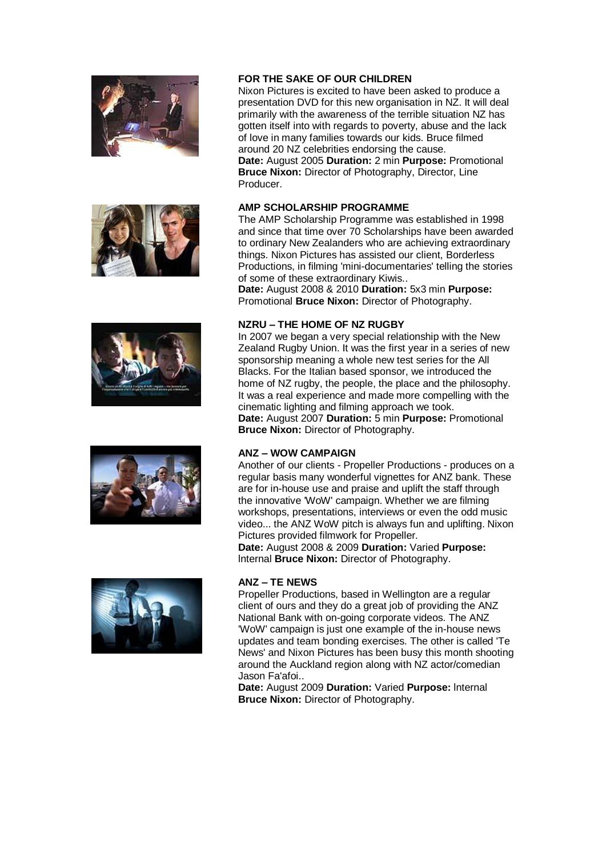









#### **FOR THE SAKE OF OUR CHILDREN**

Nixon Pictures is excited to have been asked to produce a presentation DVD for this new organisation in NZ. It will deal primarily with the awareness of the terrible situation NZ has gotten itself into with regards to poverty, abuse and the lack of love in many families towards our kids. Bruce filmed around 20 NZ celebrities endorsing the cause. **Date:** August 2005 **Duration:** 2 min **Purpose:** Promotional **Bruce Nixon:** Director of Photography, Director, Line

#### **AMP SCHOLARSHIP PROGRAMME**

Producer.

The AMP Scholarship Programme was established in 1998 and since that time over 70 Scholarships have been awarded to ordinary New Zealanders who are achieving extraordinary things. Nixon Pictures has assisted our client, Borderless Productions, in filming 'mini-documentaries' telling the stories of some of these extraordinary Kiwis..

**Date:** August 2008 & 2010 **Duration:** 5x3 min **Purpose:** Promotional **Bruce Nixon:** Director of Photography.

#### **NZRU – THE HOME OF NZ RUGBY**

In 2007 we began a very special relationship with the New Zealand Rugby Union. It was the first year in a series of new sponsorship meaning a whole new test series for the All Blacks. For the Italian based sponsor, we introduced the home of NZ rugby, the people, the place and the philosophy. It was a real experience and made more compelling with the cinematic lighting and filming approach we took. **Date:** August 2007 **Duration:** 5 min **Purpose:** Promotional **Bruce Nixon:** Director of Photography.

#### **ANZ – WOW CAMPAIGN**

Another of our clients - Propeller Productions - produces on a regular basis many wonderful vignettes for ANZ bank. These are for in-house use and praise and uplift the staff through the innovative 'WoW' campaign. Whether we are filming workshops, presentations, interviews or even the odd music video... the ANZ WoW pitch is always fun and uplifting. Nixon Pictures provided filmwork for Propeller. **Date:** August 2008 & 2009 **Duration:** Varied **Purpose:**

lnternal **Bruce Nixon:** Director of Photography.

#### **ANZ – TE NEWS**

Propeller Productions, based in Wellington are a regular client of ours and they do a great job of providing the ANZ National Bank with on-going corporate videos. The ANZ 'WoW' campaign is just one example of the in-house news updates and team bonding exercises. The other is called 'Te News' and Nixon Pictures has been busy this month shooting around the Auckland region along with NZ actor/comedian Jason Fa'afoi..

**Date:** August 2009 **Duration:** Varied **Purpose:** lnternal **Bruce Nixon:** Director of Photography.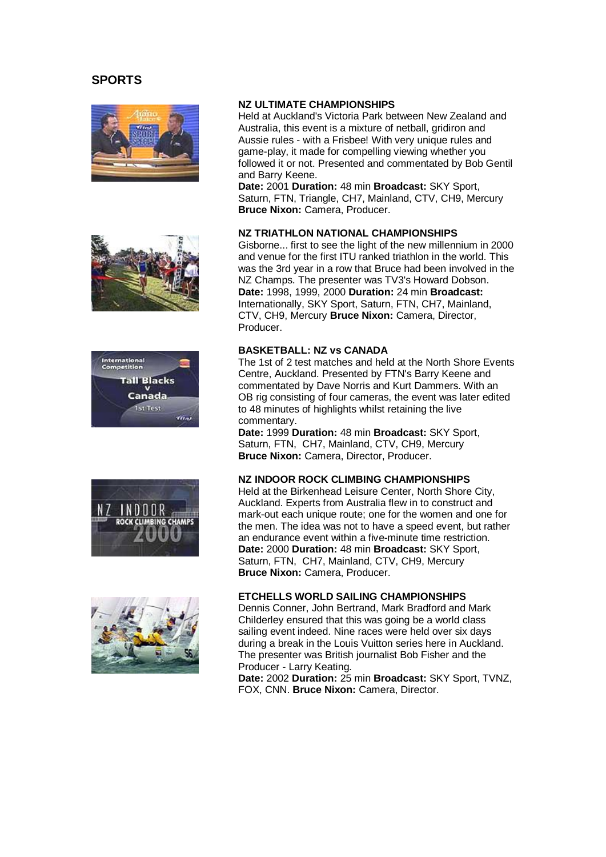# <span id="page-9-0"></span>**SPORTS**











#### **NZ ULTIMATE CHAMPIONSHIPS**

Held at Auckland's Victoria Park between New Zealand and Australia, this event is a mixture of netball, gridiron and Aussie rules - with a Frisbee! With very unique rules and game-play, it made for compelling viewing whether you followed it or not. Presented and commentated by Bob Gentil and Barry Keene.

**Date:** 2001 **Duration:** 48 min **Broadcast:** SKY Sport, Saturn, FTN, Triangle, CH7, Mainland, CTV, CH9, Mercury **Bruce Nixon:** Camera, Producer.

#### **NZ TRIATHLON NATIONAL CHAMPIONSHIPS**

Gisborne... first to see the light of the new millennium in 2000 and venue for the first ITU ranked triathlon in the world. This was the 3rd year in a row that Bruce had been involved in the NZ Champs. The presenter was TV3's Howard Dobson. **Date:** 1998, 1999, 2000 **Duration:** 24 min **Broadcast:** Internationally, SKY Sport, Saturn, FTN, CH7, Mainland, CTV, CH9, Mercury **Bruce Nixon:** Camera, Director, Producer.

#### **BASKETBALL: NZ vs CANADA**

The 1st of 2 test matches and held at the North Shore Events Centre, Auckland. Presented by FTN's Barry Keene and commentated by Dave Norris and Kurt Dammers. With an OB rig consisting of four cameras, the event was later edited to 48 minutes of highlights whilst retaining the live commentary.

**Date:** 1999 **Duration:** 48 min **Broadcast:** SKY Sport, Saturn, FTN, CH7, Mainland, CTV, CH9, Mercury **Bruce Nixon:** Camera, Director, Producer.

#### **NZ INDOOR ROCK CLIMBING CHAMPIONSHIPS**

Held at the Birkenhead Leisure Center, North Shore City, Auckland. Experts from Australia flew in to construct and mark-out each unique route; one for the women and one for the men. The idea was not to have a speed event, but rather an endurance event within a five-minute time restriction. **Date:** 2000 **Duration:** 48 min **Broadcast:** SKY Sport, Saturn, FTN, CH7, Mainland, CTV, CH9, Mercury **Bruce Nixon:** Camera, Producer.

#### **ETCHELLS WORLD SAILING CHAMPIONSHIPS**

Dennis Conner, John Bertrand, Mark Bradford and Mark Childerley ensured that this was going be a world class sailing event indeed. Nine races were held over six days during a break in the Louis Vuitton series here in Auckland. The presenter was British journalist Bob Fisher and the Producer - Larry Keating.

**Date:** 2002 **Duration:** 25 min **Broadcast:** SKY Sport, TVNZ, FOX, CNN. **Bruce Nixon:** Camera, Director.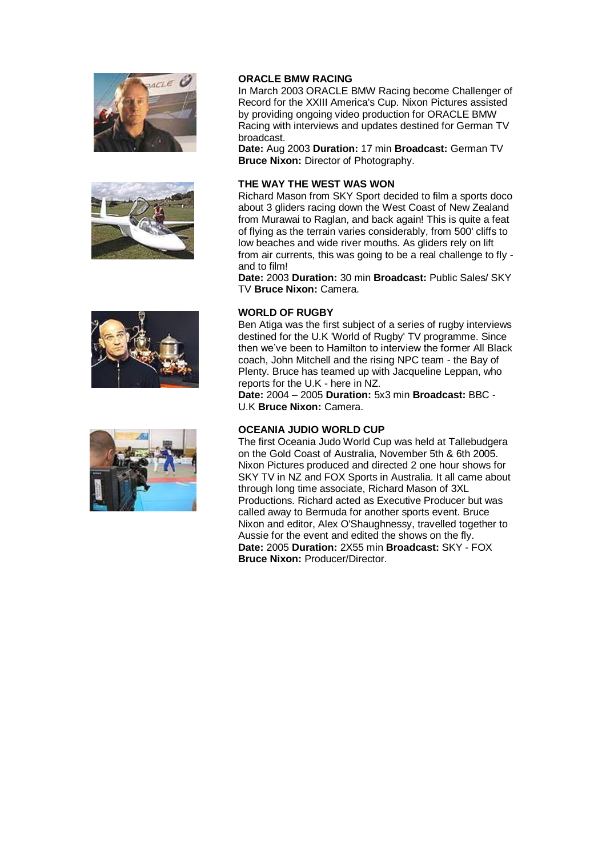







#### **ORACLE BMW RACING**

In March 2003 ORACLE BMW Racing become Challenger of Record for the XXIII America's Cup. Nixon Pictures assisted by providing ongoing video production for ORACLE BMW Racing with interviews and updates destined for German TV broadcast.

**Date:** Aug 2003 **Duration:** 17 min **Broadcast:** German TV **Bruce Nixon:** Director of Photography.

#### **THE WAY THE WEST WAS WON**

Richard Mason from SKY Sport decided to film a sports doco about 3 gliders racing down the West Coast of New Zealand from Murawai to Raglan, and back again! This is quite a feat of flying as the terrain varies considerably, from 500' cliffs to low beaches and wide river mouths. As gliders rely on lift from air currents, this was going to be a real challenge to fly and to film!

**Date:** 2003 **Duration:** 30 min **Broadcast:** Public Sales/ SKY TV **Bruce Nixon:** Camera.

#### **WORLD OF RUGBY**

Ben Atiga was the first subject of a series of rugby interviews destined for the U.K 'World of Rugby' TV programme. Since then we've been to Hamilton to interview the former All Black coach, John Mitchell and the rising NPC team - the Bay of Plenty. Bruce has teamed up with Jacqueline Leppan, who reports for the U.K - here in NZ.

**Date:** 2004 – 2005 **Duration:** 5x3 min **Broadcast:** BBC - U.K **Bruce Nixon:** Camera.

# **OCEANIA JUDIO WORLD CUP**

The first Oceania Judo World Cup was held at Tallebudgera on the Gold Coast of Australia, November 5th & 6th 2005. Nixon Pictures produced and directed 2 one hour shows for SKY TV in NZ and FOX Sports in Australia. It all came about through long time associate, Richard Mason of 3XL Productions. Richard acted as Executive Producer but was called away to Bermuda for another sports event. Bruce Nixon and editor, Alex O'Shaughnessy, travelled together to Aussie for the event and edited the shows on the fly. **Date:** 2005 **Duration:** 2X55 min **Broadcast:** SKY - FOX **Bruce Nixon:** Producer/Director.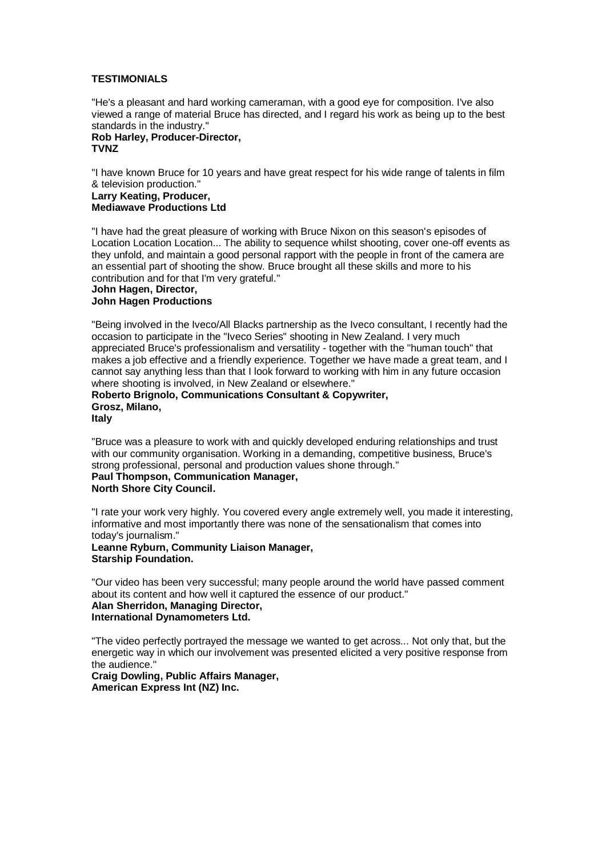#### <span id="page-11-0"></span>**TESTIMONIALS**

"He's a pleasant and hard working cameraman, with a good eye for composition. I've also viewed a range of material Bruce has directed, and I regard his work as being up to the best standards in the industry."

# **Rob Harley, Producer-Director, TVNZ**

"I have known Bruce for 10 years and have great respect for his wide range of talents in film & television production."

**Larry Keating, Producer, Mediawave Productions Ltd**

"I have had the great pleasure of working with Bruce Nixon on this season's episodes of Location Location Location... The ability to sequence whilst shooting, cover one-off events as they unfold, and maintain a good personal rapport with the people in front of the camera are an essential part of shooting the show. Bruce brought all these skills and more to his contribution and for that I'm very grateful."

# **John Hagen, Director,**

#### **John Hagen Productions**

"Being involved in the Iveco/All Blacks partnership as the Iveco consultant, I recently had the occasion to participate in the "Iveco Series" shooting in New Zealand. I very much appreciated Bruce's professionalism and versatility - together with the "human touch" that makes a job effective and a friendly experience. Together we have made a great team, and I cannot say anything less than that I look forward to working with him in any future occasion where shooting is involved, in New Zealand or elsewhere."

#### **Roberto Brignolo, Communications Consultant & Copywriter, Grosz, Milano, Italy**

"Bruce was a pleasure to work with and quickly developed enduring relationships and trust with our community organisation. Working in a demanding, competitive business, Bruce's strong professional, personal and production values shone through."

#### **Paul Thompson, Communication Manager, North Shore City Council.**

"I rate your work very highly. You covered every angle extremely well, you made it interesting, informative and most importantly there was none of the sensationalism that comes into today's journalism."

#### **Leanne Ryburn, Community Liaison Manager, Starship Foundation.**

"Our video has been very successful; many people around the world have passed comment about its content and how well it captured the essence of our product." **Alan Sherridon, Managing Director,**

#### **International Dynamometers Ltd.**

"The video perfectly portrayed the message we wanted to get across... Not only that, but the energetic way in which our involvement was presented elicited a very positive response from the audience."

#### **Craig Dowling, Public Affairs Manager, American Express Int (NZ) Inc.**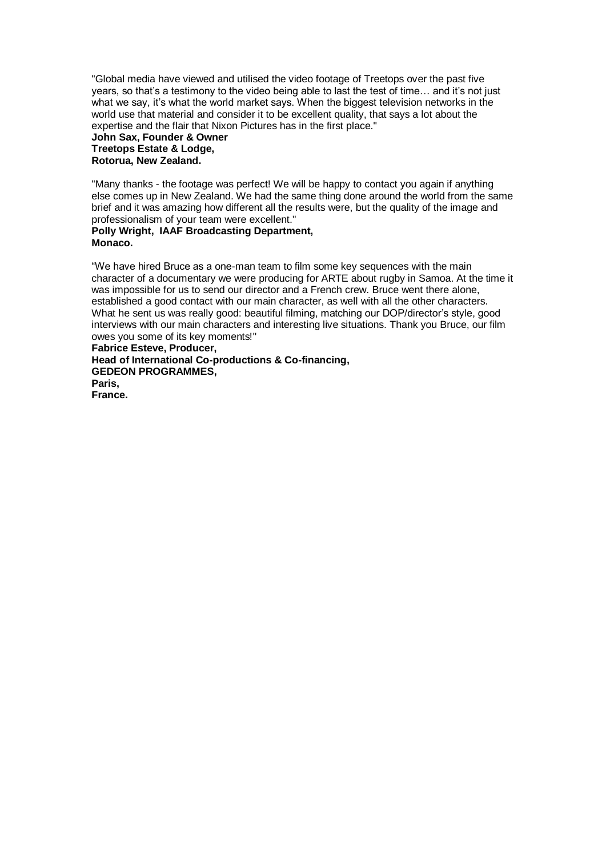"Global media have viewed and utilised the video footage of Treetops over the past five years, so that's a testimony to the video being able to last the test of time... and it's not just what we say, it's what the world market says. When the biggest television networks in the world use that material and consider it to be excellent quality, that says a lot about the expertise and the flair that Nixon Pictures has in the first place."

#### **John Sax, Founder & Owner Treetops Estate & Lodge, Rotorua, New Zealand.**

"Many thanks - the footage was perfect! We will be happy to contact you again if anything else comes up in New Zealand. We had the same thing done around the world from the same brief and it was amazing how different all the results were, but the quality of the image and professionalism of your team were excellent."

# **Polly Wright, IAAF Broadcasting Department, Monaco.**

"We have hired Bruce as a one-man team to film some key sequences with the main character of a documentary we were producing for ARTE about rugby in Samoa. At the time it was impossible for us to send our director and a French crew. Bruce went there alone, established a good contact with our main character, as well with all the other characters. What he sent us was really good: beautiful filming, matching our DOP/director's style, good interviews with our main characters and interesting live situations. Thank you Bruce, our film owes you some of its key moments!"

<span id="page-12-0"></span>**Fabrice Esteve, Producer, Head of International Co-productions & Co-financing, GEDEON PROGRAMMES, Paris, France.**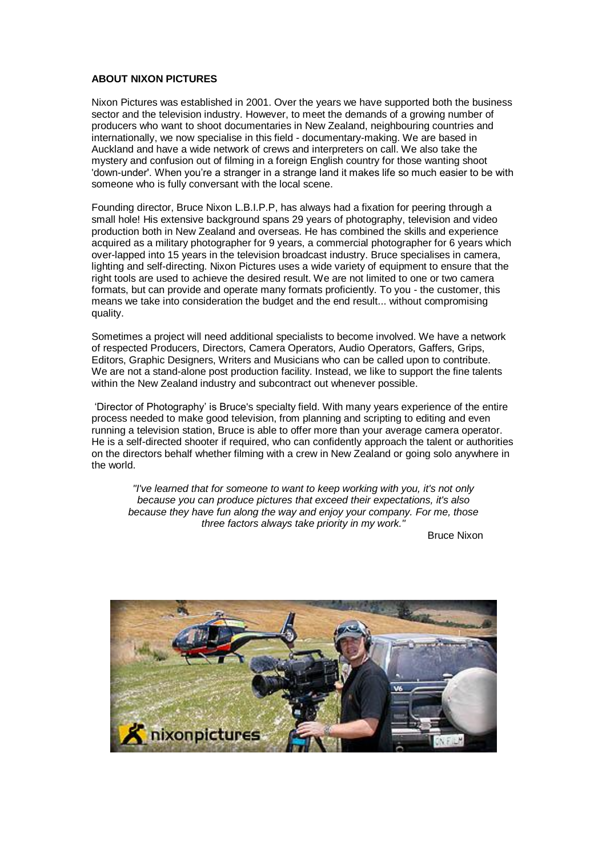### **ABOUT NIXON PICTURES**

Nixon Pictures was established in 2001. Over the years we have supported both the business sector and the television industry. However, to meet the demands of a growing number of producers who want to shoot documentaries in New Zealand, neighbouring countries and internationally, we now specialise in this field - documentary-making. We are based in Auckland and have a wide network of crews and interpreters on call. We also take the mystery and confusion out of filming in a foreign English country for those wanting shoot 'down-under'. When you"re a stranger in a strange land it makes life so much easier to be with someone who is fully conversant with the local scene.

Founding director, Bruce Nixon L.B.I.P.P, has always had a fixation for peering through a small hole! His extensive background spans 29 years of photography, television and video production both in New Zealand and overseas. He has combined the skills and experience acquired as a military photographer for 9 years, a commercial photographer for 6 years which over-lapped into 15 years in the television broadcast industry. Bruce specialises in camera, lighting and self-directing. Nixon Pictures uses a wide variety of equipment to ensure that the right tools are used to achieve the desired result. We are not limited to one or two camera formats, but can provide and operate many formats proficiently. To you - the customer, this means we take into consideration the budget and the end result... without compromising quality.

Sometimes a project will need additional specialists to become involved. We have a network of respected Producers, Directors, Camera Operators, Audio Operators, Gaffers, Grips, Editors, Graphic Designers, Writers and Musicians who can be called upon to contribute. We are not a stand-alone post production facility. Instead, we like to support the fine talents within the New Zealand industry and subcontract out whenever possible.

"Director of Photography" is Bruce's specialty field. With many years experience of the entire process needed to make good television, from planning and scripting to editing and even running a television station, Bruce is able to offer more than your average camera operator. He is a self-directed shooter if required, who can confidently approach the talent or authorities on the directors behalf whether filming with a crew in New Zealand or going solo anywhere in the world.

*"I've learned that for someone to want to keep working with you, it's not only because you can produce pictures that exceed their expectations, it's also because they have fun along the way and enjoy your company. For me, those three factors always take priority in my work."*

Bruce Nixon